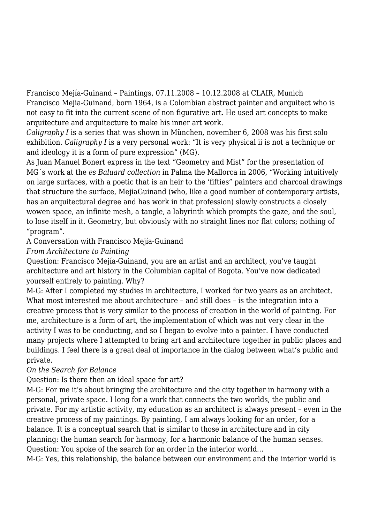Francisco Mejía-Guinand – Paintings, 07.11.2008 – 10.12.2008 at CLAIR, Munich Francisco Mejia-Guinand, born 1964, is a Colombian abstract painter and arquitect who is not easy to fit into the current scene of non figurative art. He used art concepts to make arquitecture and arquitecture to make his inner art work.

*Caligraphy I* is a series that was shown in München, november 6, 2008 was his first solo exhibition. *Caligraphy I* is a very personal work: "It is very physical ii is not a technique or and ideology it is a form of pure expression" (MG).

As Juan Manuel Bonert express in the text "Geometry and Mist" for the presentation of MG´s work at the *es Baluard collection* in Palma the Mallorca in 2006, "Working intuitively on large surfaces, with a poetic that is an heir to the 'fifties" painters and charcoal drawings that structure the surface, MejiaGuinand (who, like a good number of contemporary artists, has an arquitectural degree and has work in that profession) slowly constructs a closely wowen space, an infinite mesh, a tangle, a labyrinth which prompts the gaze, and the soul, to lose itself in it. Geometry, but obviously with no straight lines nor flat colors; nothing of "program".

A Conversation with Francisco Mejía-Guinand

*From Architecture to Painting*

Question: Francisco Mejía-Guinand, you are an artist and an architect, you've taught architecture and art history in the Columbian capital of Bogota. You've now dedicated yourself entirely to painting. Why?

M-G: After I completed my studies in architecture, I worked for two years as an architect. What most interested me about architecture - and still does - is the integration into a creative process that is very similar to the process of creation in the world of painting. For me, architecture is a form of art, the implementation of which was not very clear in the activity I was to be conducting, and so I began to evolve into a painter. I have conducted many projects where I attempted to bring art and architecture together in public places and buildings. I feel there is a great deal of importance in the dialog between what's public and private.

## *On the Search for Balance*

Question: Is there then an ideal space for art?

M-G: For me it's about bringing the architecture and the city together in harmony with a personal, private space. I long for a work that connects the two worlds, the public and private. For my artistic activity, my education as an architect is always present – even in the creative process of my paintings. By painting, I am always looking for an order, for a balance. It is a conceptual search that is similar to those in architecture and in city planning: the human search for harmony, for a harmonic balance of the human senses. Question: You spoke of the search for an order in the interior world…

M-G: Yes, this relationship, the balance between our environment and the interior world is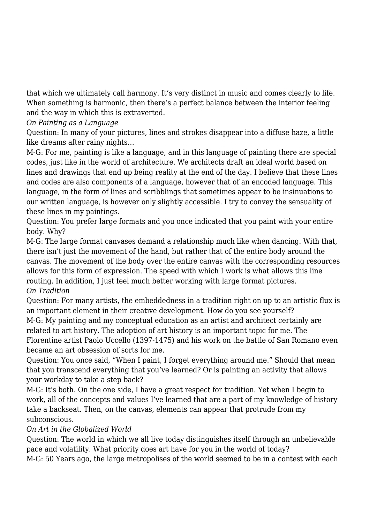that which we ultimately call harmony. It's very distinct in music and comes clearly to life. When something is harmonic, then there's a perfect balance between the interior feeling and the way in which this is extraverted.

*On Painting as a Language*

Question: In many of your pictures, lines and strokes disappear into a diffuse haze, a little like dreams after rainy nights…

M-G: For me, painting is like a language, and in this language of painting there are special codes, just like in the world of architecture. We architects draft an ideal world based on lines and drawings that end up being reality at the end of the day. I believe that these lines and codes are also components of a language, however that of an encoded language. This language, in the form of lines and scribblings that sometimes appear to be insinuations to our written language, is however only slightly accessible. I try to convey the sensuality of these lines in my paintings.

Question: You prefer large formats and you once indicated that you paint with your entire body. Why?

M-G: The large format canvases demand a relationship much like when dancing. With that, there isn't just the movement of the hand, but rather that of the entire body around the canvas. The movement of the body over the entire canvas with the corresponding resources allows for this form of expression. The speed with which I work is what allows this line routing. In addition, I just feel much better working with large format pictures. *On Tradition*

Question: For many artists, the embeddedness in a tradition right on up to an artistic flux is an important element in their creative development. How do you see yourself?

M-G: My painting and my conceptual education as an artist and architect certainly are related to art history. The adoption of art history is an important topic for me. The Florentine artist Paolo Uccello (1397-1475) and his work on the battle of San Romano even became an art obsession of sorts for me.

Question: You once said, "When I paint, I forget everything around me." Should that mean that you transcend everything that you've learned? Or is painting an activity that allows your workday to take a step back?

M-G: It's both. On the one side, I have a great respect for tradition. Yet when I begin to work, all of the concepts and values I've learned that are a part of my knowledge of history take a backseat. Then, on the canvas, elements can appear that protrude from my subconscious.

## *On Art in the Globalized World*

Question: The world in which we all live today distinguishes itself through an unbelievable pace and volatility. What priority does art have for you in the world of today? M-G: 50 Years ago, the large metropolises of the world seemed to be in a contest with each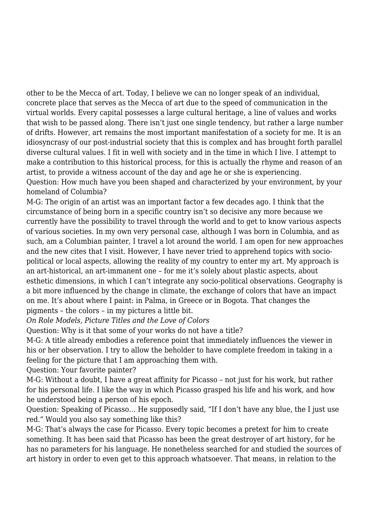other to be the Mecca of art. Today, I believe we can no longer speak of an individual, concrete place that serves as the Mecca of art due to the speed of communication in the virtual worlds. Every capital possesses a large cultural heritage, a line of values and works that wish to be passed along. There isn't just one single tendency, but rather a large number of drifts. However, art remains the most important manifestation of a society for me. It is an idiosyncrasy of our post-industrial society that this is complex and has brought forth parallel diverse cultural values. I fit in well with society and in the time in which I live. I attempt to make a contribution to this historical process, for this is actually the rhyme and reason of an artist, to provide a witness account of the day and age he or she is experiencing. Question: How much have you been shaped and characterized by your environment, by your homeland of Columbia?

M-G: The origin of an artist was an important factor a few decades ago. I think that the circumstance of being born in a specific country isn't so decisive any more because we currently have the possibility to travel through the world and to get to know various aspects of various societies. In my own very personal case, although I was born in Columbia, and as such, am a Columbian painter, I travel a lot around the world. I am open for new approaches and the new cites that I visit. However, I have never tried to apprehend topics with sociopolitical or local aspects, allowing the reality of my country to enter my art. My approach is an art-historical, an art-immanent one – for me it's solely about plastic aspects, about esthetic dimensions, in which I can't integrate any socio-political observations. Geography is a bit more influenced by the change in climate, the exchange of colors that have an impact on me. It's about where I paint: in Palma, in Greece or in Bogota. That changes the pigments – the colors – in my pictures a little bit.

*On Role Models, Picture Titles and the Love of Colors*

Question: Why is it that some of your works do not have a title?

M-G: A title already embodies a reference point that immediately influences the viewer in his or her observation. I try to allow the beholder to have complete freedom in taking in a feeling for the picture that I am approaching them with.

Question: Your favorite painter?

M-G: Without a doubt, I have a great affinity for Picasso – not just for his work, but rather for his personal life. I like the way in which Picasso grasped his life and his work, and how he understood being a person of his epoch.

Question: Speaking of Picasso… He supposedly said, "If I don't have any blue, the I just use red." Would you also say something like this?

M-G: That's always the case for Picasso. Every topic becomes a pretext for him to create something. It has been said that Picasso has been the great destroyer of art history, for he has no parameters for his language. He nonetheless searched for and studied the sources of art history in order to even get to this approach whatsoever. That means, in relation to the